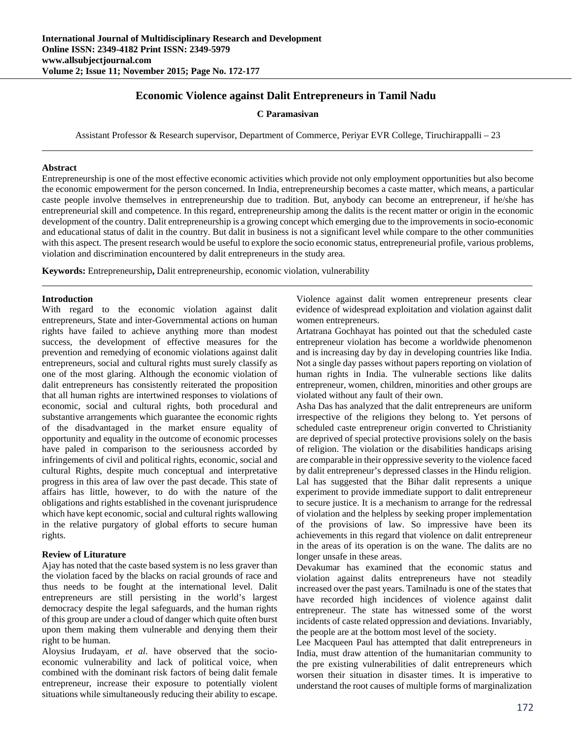# **Economic Violence against Dalit Entrepreneurs in Tamil Nadu**

**C Paramasivan** 

Assistant Professor & Research supervisor, Department of Commerce, Periyar EVR College, Tiruchirappalli – 23

#### **Abstract**

Entrepreneurship is one of the most effective economic activities which provide not only employment opportunities but also become the economic empowerment for the person concerned. In India, entrepreneurship becomes a caste matter, which means, a particular caste people involve themselves in entrepreneurship due to tradition. But, anybody can become an entrepreneur, if he/she has entrepreneurial skill and competence. In this regard, entrepreneurship among the dalits is the recent matter or origin in the economic development of the country. Dalit entrepreneurship is a growing concept which emerging due to the improvements in socio-economic and educational status of dalit in the country. But dalit in business is not a significant level while compare to the other communities with this aspect. The present research would be useful to explore the socio economic status, entrepreneurial profile, various problems, violation and discrimination encountered by dalit entrepreneurs in the study area.

**Keywords:** Entrepreneurship**,** Dalit entrepreneurship, economic violation, vulnerability

#### **Introduction**

With regard to the economic violation against dalit entrepreneurs, State and inter-Governmental actions on human rights have failed to achieve anything more than modest success, the development of effective measures for the prevention and remedying of economic violations against dalit entrepreneurs, social and cultural rights must surely classify as one of the most glaring. Although the economic violation of dalit entrepreneurs has consistently reiterated the proposition that all human rights are intertwined responses to violations of economic, social and cultural rights, both procedural and substantive arrangements which guarantee the economic rights of the disadvantaged in the market ensure equality of opportunity and equality in the outcome of economic processes have paled in comparison to the seriousness accorded by infringements of civil and political rights, economic, social and cultural Rights, despite much conceptual and interpretative progress in this area of law over the past decade. This state of affairs has little, however, to do with the nature of the obligations and rights established in the covenant jurisprudence which have kept economic, social and cultural rights wallowing in the relative purgatory of global efforts to secure human rights.

## **Review of Liturature**

Ajay has noted that the caste based system is no less graver than the violation faced by the blacks on racial grounds of race and thus needs to be fought at the international level. Dalit entrepreneurs are still persisting in the world's largest democracy despite the legal safeguards, and the human rights of this group are under a cloud of danger which quite often burst upon them making them vulnerable and denying them their right to be human.

Aloysius Irudayam, *et al*. have observed that the socioeconomic vulnerability and lack of political voice, when combined with the dominant risk factors of being dalit female entrepreneur, increase their exposure to potentially violent situations while simultaneously reducing their ability to escape.

Violence against dalit women entrepreneur presents clear evidence of widespread exploitation and violation against dalit women entrepreneurs.

Artatrana Gochhayat has pointed out that the scheduled caste entrepreneur violation has become a worldwide phenomenon and is increasing day by day in developing countries like India. Not a single day passes without papers reporting on violation of human rights in India. The vulnerable sections like dalits entrepreneur, women, children, minorities and other groups are violated without any fault of their own.

Asha Das has analyzed that the dalit entrepreneurs are uniform irrespective of the religions they belong to. Yet persons of scheduled caste entrepreneur origin converted to Christianity are deprived of special protective provisions solely on the basis of religion. The violation or the disabilities handicaps arising are comparable in their oppressive severity to the violence faced by dalit entrepreneur's depressed classes in the Hindu religion. Lal has suggested that the Bihar dalit represents a unique experiment to provide immediate support to dalit entrepreneur to secure justice. It is a mechanism to arrange for the redressal of violation and the helpless by seeking proper implementation of the provisions of law. So impressive have been its achievements in this regard that violence on dalit entrepreneur in the areas of its operation is on the wane. The dalits are no longer unsafe in these areas.

Devakumar has examined that the economic status and violation against dalits entrepreneurs have not steadily increased over the past years. Tamilnadu is one of the states that have recorded high incidences of violence against dalit entrepreneur. The state has witnessed some of the worst incidents of caste related oppression and deviations. Invariably, the people are at the bottom most level of the society.

Lee Macqueen Paul has attempted that dalit entrepreneurs in India, must draw attention of the humanitarian community to the pre existing vulnerabilities of dalit entrepreneurs which worsen their situation in disaster times. It is imperative to understand the root causes of multiple forms of marginalization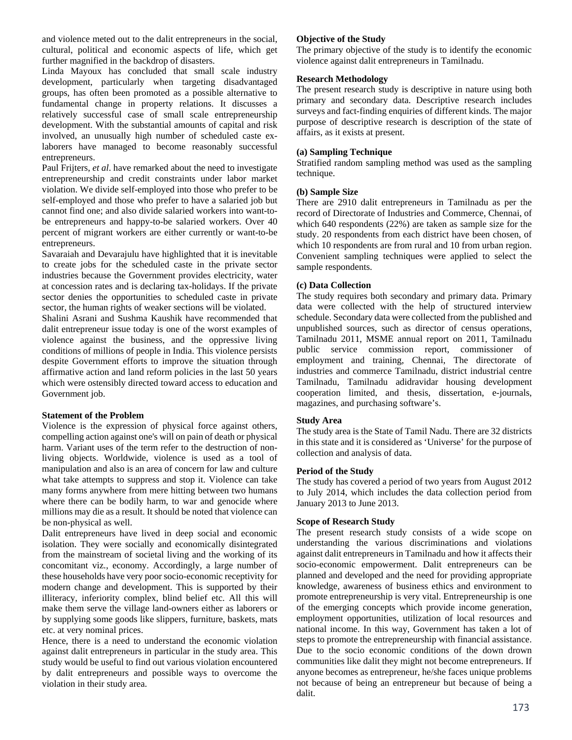and violence meted out to the dalit entrepreneurs in the social, cultural, political and economic aspects of life, which get further magnified in the backdrop of disasters.

Linda Mayoux has concluded that small scale industry development, particularly when targeting disadvantaged groups, has often been promoted as a possible alternative to fundamental change in property relations. It discusses a relatively successful case of small scale entrepreneurship development. With the substantial amounts of capital and risk involved, an unusually high number of scheduled caste exlaborers have managed to become reasonably successful entrepreneurs.

Paul Frijters, *et al*. have remarked about the need to investigate entrepreneurship and credit constraints under labor market violation. We divide self-employed into those who prefer to be self-employed and those who prefer to have a salaried job but cannot find one; and also divide salaried workers into want-tobe entrepreneurs and happy-to-be salaried workers. Over 40 percent of migrant workers are either currently or want-to-be entrepreneurs.

Savaraiah and Devarajulu have highlighted that it is inevitable to create jobs for the scheduled caste in the private sector industries because the Government provides electricity, water at concession rates and is declaring tax-holidays. If the private sector denies the opportunities to scheduled caste in private sector, the human rights of weaker sections will be violated.

Shalini Asrani and Sushma Kaushik have recommended that dalit entrepreneur issue today is one of the worst examples of violence against the business, and the oppressive living conditions of millions of people in India. This violence persists despite Government efforts to improve the situation through affirmative action and land reform policies in the last 50 years which were ostensibly directed toward access to education and Government job.

### **Statement of the Problem**

Violence is the expression of physical force against others, compelling action against one's will on pain of death or physical harm. Variant uses of the term refer to the destruction of nonliving objects. Worldwide, violence is used as a tool of manipulation and also is an area of concern for law and culture what take attempts to suppress and stop it. Violence can take many forms anywhere from mere hitting between two humans where there can be bodily harm, to war and genocide where millions may die as a result. It should be noted that violence can be non-physical as well.

Dalit entrepreneurs have lived in deep social and economic isolation. They were socially and economically disintegrated from the mainstream of societal living and the working of its concomitant viz., economy. Accordingly, a large number of these households have very poor socio-economic receptivity for modern change and development. This is supported by their illiteracy, inferiority complex, blind belief etc. All this will make them serve the village land-owners either as laborers or by supplying some goods like slippers, furniture, baskets, mats etc. at very nominal prices.

Hence, there is a need to understand the economic violation against dalit entrepreneurs in particular in the study area. This study would be useful to find out various violation encountered by dalit entrepreneurs and possible ways to overcome the violation in their study area.

### **Objective of the Study**

The primary objective of the study is to identify the economic violence against dalit entrepreneurs in Tamilnadu.

### **Research Methodology**

The present research study is descriptive in nature using both primary and secondary data. Descriptive research includes surveys and fact-finding enquiries of different kinds. The major purpose of descriptive research is description of the state of affairs, as it exists at present.

## **(a) Sampling Technique**

Stratified random sampling method was used as the sampling technique.

### **(b) Sample Size**

There are 2910 dalit entrepreneurs in Tamilnadu as per the record of Directorate of Industries and Commerce, Chennai, of which 640 respondents (22%) are taken as sample size for the study. 20 respondents from each district have been chosen, of which 10 respondents are from rural and 10 from urban region. Convenient sampling techniques were applied to select the sample respondents.

### **(c) Data Collection**

The study requires both secondary and primary data. Primary data were collected with the help of structured interview schedule. Secondary data were collected from the published and unpublished sources, such as director of census operations, Tamilnadu 2011, MSME annual report on 2011, Tamilnadu public service commission report, commissioner of employment and training, Chennai, The directorate of industries and commerce Tamilnadu, district industrial centre Tamilnadu, Tamilnadu adidravidar housing development cooperation limited, and thesis, dissertation, e-journals, magazines, and purchasing software's.

#### **Study Area**

The study area is the State of Tamil Nadu. There are 32 districts in this state and it is considered as 'Universe' for the purpose of collection and analysis of data.

#### **Period of the Study**

The study has covered a period of two years from August 2012 to July 2014, which includes the data collection period from January 2013 to June 2013.

### **Scope of Research Study**

The present research study consists of a wide scope on understanding the various discriminations and violations against dalit entrepreneurs in Tamilnadu and how it affects their socio-economic empowerment. Dalit entrepreneurs can be planned and developed and the need for providing appropriate knowledge, awareness of business ethics and environment to promote entrepreneurship is very vital. Entrepreneurship is one of the emerging concepts which provide income generation, employment opportunities, utilization of local resources and national income. In this way, Government has taken a lot of steps to promote the entrepreneurship with financial assistance. Due to the socio economic conditions of the down drown communities like dalit they might not become entrepreneurs. If anyone becomes as entrepreneur, he/she faces unique problems not because of being an entrepreneur but because of being a dalit.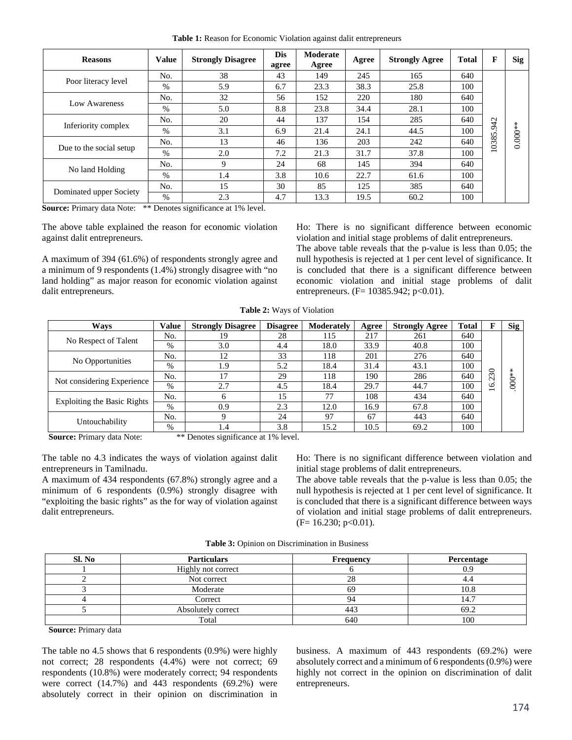**Table 1:** Reason for Economic Violation against dalit entrepreneurs

| <b>Reasons</b>          | <b>Value</b> | <b>Strongly Disagree</b> | <b>Dis</b><br>agree | Moderate<br>Agree | Agree | <b>Strongly Agree</b> | <b>Total</b> | F              | <b>Sig</b> |
|-------------------------|--------------|--------------------------|---------------------|-------------------|-------|-----------------------|--------------|----------------|------------|
|                         | No.          | 38                       | 43                  | 149               | 245   | 165                   | 640          |                |            |
| Poor literacy level     | $\%$         | 5.9                      | 6.7                 | 23.3              | 38.3  | 25.8                  | 100          |                |            |
| Low Awareness           | No.          | 32                       | 56                  | 152               | 220   | 180                   | 640          |                |            |
|                         | $\%$         | 5.0                      | 8.8                 | 23.8              | 34.4  | 28.1                  | 100          |                |            |
| Inferiority complex     | No.          | 20                       | 44                  | 137               | 154   | 285                   | 640          | $\overline{c}$ |            |
|                         | $\%$         | 3.1                      | 6.9                 | 21.4              | 24.1  | 44.5                  | 100          | Ō              | $0.000**$  |
|                         | No.          | 13                       | 46                  | 136               | 203   | 242                   | 640          | 0385.          |            |
| Due to the social setup | $\%$         | 2.0                      | 7.2                 | 21.3              | 31.7  | 37.8                  | 100          |                |            |
|                         | No.          | 9                        | 24                  | 68                | 145   | 394                   | 640          |                |            |
| No land Holding         | $\%$         | 1.4                      | 3.8                 | 10.6              | 22.7  | 61.6                  | 100          |                |            |
| Dominated upper Society | No.          | 15                       | 30                  | 85                | 125   | 385                   | 640          |                |            |
|                         | $\%$         | 2.3                      | 4.7                 | 13.3              | 19.5  | 60.2                  | 100          |                |            |

**Source:** Primary data Note: \*\* Denotes significance at 1% level.

The above table explained the reason for economic violation against dalit entrepreneurs.

A maximum of 394 (61.6%) of respondents strongly agree and a minimum of 9 respondents (1.4%) strongly disagree with "no land holding" as major reason for economic violation against dalit entrepreneurs.

Ho: There is no significant difference between economic violation and initial stage problems of dalit entrepreneurs.

The above table reveals that the p-value is less than 0.05; the null hypothesis is rejected at 1 per cent level of significance. It is concluded that there is a significant difference between economic violation and initial stage problems of dalit entrepreneurs. (F= 10385.942; p<0.01).

**Table 2:** Ways of Violation

| Ways                        | <b>Value</b> | <b>Strongly Disagree</b> | <b>Disagree</b> | Moderately | Agree | <b>Strongly Agree</b> | <b>Total</b> |                      | <b>Sig</b> |
|-----------------------------|--------------|--------------------------|-----------------|------------|-------|-----------------------|--------------|----------------------|------------|
|                             | No.          | 19                       | 28              | 115        | 217   | 261                   | 640          |                      |            |
| No Respect of Talent        | $\%$         | 3.0                      | 4.4             | 18.0       | 33.9  | 40.8                  | 100          |                      |            |
| No Opportunities            | No.          | 12                       | 33              | 118        | 201   | 276                   | 640          |                      |            |
|                             | $\%$         | 1.9                      | 5.2             | 18.4       | 31.4  | 43.1                  | 100          | 0                    | $\ast$     |
| Not considering Experience  | No.          |                          | 29              | 118        | 190   | 286                   | 640          | ᠬ<br>$\mathbf{\sim}$ | $000*$     |
|                             | $\%$         | 2.7                      | 4.5             | 18.4       | 29.7  | 44.7                  | 100          | 91                   |            |
|                             | No.          |                          | 15              | 77         | 108   | 434                   | 640          |                      |            |
| Exploiting the Basic Rights | $\%$         | 0.9                      | 2.3             | 12.0       | 16.9  | 67.8                  | 100          |                      |            |
| Untouchability              | No.          |                          | 24              | 97         | 67    | 443                   | 640          |                      |            |
|                             | %            | 1.4                      | 3.8             | 15.2       | 10.5  | 69.2                  | 100          |                      |            |

**Source:** Primary data Note: \*\* Denotes significance at 1% level.

The table no 4.3 indicates the ways of violation against dalit entrepreneurs in Tamilnadu.

A maximum of 434 respondents (67.8%) strongly agree and a minimum of 6 respondents (0.9%) strongly disagree with "exploiting the basic rights" as the for way of violation against dalit entrepreneurs.

Ho: There is no significant difference between violation and initial stage problems of dalit entrepreneurs.

The above table reveals that the p-value is less than 0.05; the null hypothesis is rejected at 1 per cent level of significance. It is concluded that there is a significant difference between ways of violation and initial stage problems of dalit entrepreneurs.  $(F= 16.230; p<0.01)$ .

| Sl. No | <b>Particulars</b> | <b>Frequency</b> | Percentage |
|--------|--------------------|------------------|------------|
|        | Highly not correct |                  | 0.9        |
|        | Not correct        |                  | ÷.         |
|        | Moderate           | hУ               | 10.8       |
|        | Correct            |                  | 14.7       |
|        | Absolutely correct | 443              | 69.2       |
|        | Total              | 640              | 100        |

**Table 3:** Opinion on Discrimination in Business

**Source:** Primary data

The table no 4.5 shows that 6 respondents (0.9%) were highly not correct; 28 respondents (4.4%) were not correct; 69 respondents (10.8%) were moderately correct; 94 respondents were correct (14.7%) and 443 respondents (69.2%) were absolutely correct in their opinion on discrimination in

business. A maximum of 443 respondents (69.2%) were absolutely correct and a minimum of 6 respondents (0.9%) were highly not correct in the opinion on discrimination of dalit entrepreneurs.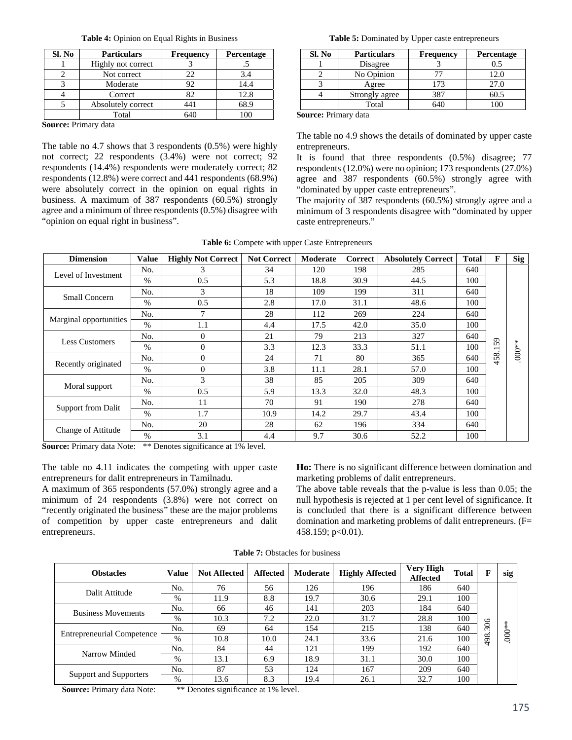|  |  | <b>Table 4:</b> Opinion on Equal Rights in Business |
|--|--|-----------------------------------------------------|
|  |  |                                                     |

| Sl. No | <b>Particulars</b> | <b>Frequency</b> | <b>Percentage</b> |
|--------|--------------------|------------------|-------------------|
|        | Highly not correct |                  |                   |
|        | Not correct        | 22               | 3.4               |
|        | Moderate           | 92               | 14.4              |
|        | Correct            | 82               | 12.8              |
|        | Absolutely correct | 441              | 68.9              |
|        | Total              |                  |                   |

**Source:** Primary data

The table no 4.7 shows that 3 respondents (0.5%) were highly not correct; 22 respondents (3.4%) were not correct; 92 respondents (14.4%) respondents were moderately correct; 82 respondents (12.8%) were correct and 441 respondents (68.9%) were absolutely correct in the opinion on equal rights in business. A maximum of 387 respondents (60.5%) strongly agree and a minimum of three respondents (0.5%) disagree with "opinion on equal right in business".

**Table 5:** Dominated by Upper caste entrepreneurs

| Sl. No | <b>Particulars</b> | <b>Frequency</b> | Percentage |
|--------|--------------------|------------------|------------|
|        | Disagree           |                  | 0.5        |
|        | No Opinion         |                  | 12.0       |
|        | Agree              | 73               | 27.0       |
|        | Strongly agree     | 387              | 60.5       |
|        | Total              |                  |            |

**Source:** Primary data

The table no 4.9 shows the details of dominated by upper caste entrepreneurs.

It is found that three respondents (0.5%) disagree; 77 respondents (12.0%) were no opinion; 173 respondents (27.0%) agree and 387 respondents (60.5%) strongly agree with "dominated by upper caste entrepreneurs".

The majority of 387 respondents (60.5%) strongly agree and a minimum of 3 respondents disagree with "dominated by upper caste entrepreneurs."

| <b>Dimension</b>       | <b>Value</b> | <b>Highly Not Correct</b> | <b>Not Correct</b> | Moderate | <b>Correct</b> | <b>Absolutely Correct</b> | <b>Total</b> | F                              | <b>Sig</b> |
|------------------------|--------------|---------------------------|--------------------|----------|----------------|---------------------------|--------------|--------------------------------|------------|
| Level of Investment    | No.          | 3                         | 34                 | 120      | 198            | 285                       | 640          |                                |            |
|                        | $\%$         | 0.5                       | 5.3                | 18.8     | 30.9           | 44.5                      | 100          |                                |            |
|                        | No.          | 3                         | 18                 | 109      | 199            | 311                       | 640          |                                |            |
| <b>Small Concern</b>   | $\%$         | 0.5                       | 2.8                | 17.0     | 31.1           | 48.6                      | 100          |                                |            |
|                        | No.          | $\overline{7}$            | 28                 | 112      | 269            | 224                       | 640          |                                |            |
| Marginal opportunities | $\%$         | 1.1                       | 4.4                | 17.5     | 42.0           | 35.0                      | 100          |                                |            |
|                        | No.          | $\Omega$                  | 21                 | 79       | 213            | 327                       | 640          |                                |            |
| <b>Less Customers</b>  | $\%$         | $\mathbf{0}$              | 3.3                | 12.3     | 33.3           | 51.1                      | 100          | 59<br>$\overline{\phantom{0}}$ | $.000**$   |
|                        | No.          | $\mathbf{0}$              | 24                 | 71       | 80             | 365                       | 640          | 458.                           |            |
| Recently originated    | $\%$         | $\mathbf{0}$              | 3.8                | 11.1     | 28.1           | 57.0                      | 100          |                                |            |
|                        | No.          | 3                         | 38                 | 85       | 205            | 309                       | 640          |                                |            |
| Moral support          | $\%$         | 0.5                       | 5.9                | 13.3     | 32.0           | 48.3                      | 100          |                                |            |
|                        | No.          | 11                        | 70                 | 91       | 190            | 278                       | 640          |                                |            |
| Support from Dalit     | $\%$         | 1.7                       | 10.9               | 14.2     | 29.7           | 43.4                      | 100          |                                |            |
|                        | No.          | 20                        | 28                 | 62       | 196            | 334                       | 640          |                                |            |
| Change of Attitude     | $\%$         | 3.1                       | 4.4                | 9.7      | 30.6           | 52.2                      | 100          |                                |            |

**Source:** Primary data Note: \*\* Denotes significance at 1% level.

The table no 4.11 indicates the competing with upper caste entrepreneurs for dalit entrepreneurs in Tamilnadu.

A maximum of 365 respondents (57.0%) strongly agree and a minimum of 24 respondents (3.8%) were not correct on "recently originated the business" these are the major problems of competition by upper caste entrepreneurs and dalit entrepreneurs.

**Ho:** There is no significant difference between domination and marketing problems of dalit entrepreneurs.

The above table reveals that the p-value is less than 0.05; the null hypothesis is rejected at 1 per cent level of significance. It is concluded that there is a significant difference between domination and marketing problems of dalit entrepreneurs. (F= 458.159; p<0.01).

| <b>Obstacles</b>                  | Value | <b>Not Affected</b> | <b>Affected</b> | Moderate | <b>Highly Affected</b> | Very High<br><b>Affected</b> | <b>Total</b> | F   | sig     |
|-----------------------------------|-------|---------------------|-----------------|----------|------------------------|------------------------------|--------------|-----|---------|
| Dalit Attitude                    | No.   | 76                  | 56              | 126      | 196                    | 186                          | 640          |     |         |
|                                   | $\%$  | 11.9                | 8.8             | 19.7     | 30.6                   | 29.1                         | 100          |     |         |
| <b>Business Movements</b>         | No.   | 66                  | 46              | 141      | 203                    | 184                          | 640          |     |         |
|                                   | %     | 10.3                | 7.2             | 22.0     | 31.7                   | 28.8                         | 100          |     | ∗       |
| <b>Entrepreneurial Competence</b> | No.   | 69                  | 64              | 154      | 215                    | 138                          | 640          | 306 | $000^*$ |
|                                   | %     | 10.8                | 10.0            | 24.1     | 33.6                   | 21.6                         | 100          | 498 |         |
| Narrow Minded                     | No.   | 84                  | 44              | 121      | 199                    | 192                          | 640          |     |         |
|                                   | $\%$  | 13.1                | 6.9             | 18.9     | 31.1                   | 30.0                         | 100          |     |         |
| Support and Supporters            | No.   | 87                  | 53              | 124      | 167                    | 209                          | 640          |     |         |
|                                   | %     | 13.6                | 8.3             | 19.4     | 26.1                   | 32.7                         | 100          |     |         |

**Table 7:** Obstacles for business

**Source:** Primary data Note: \*\* Denotes significance at 1% level.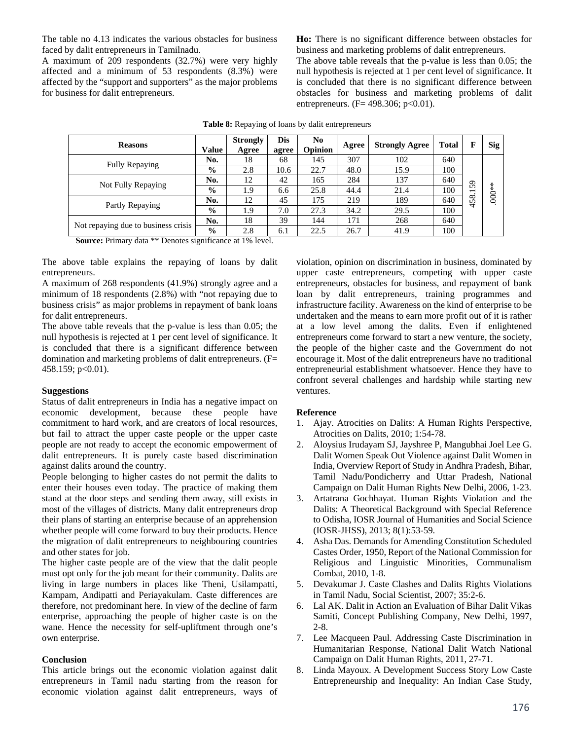The table no 4.13 indicates the various obstacles for business faced by dalit entrepreneurs in Tamilnadu.

A maximum of 209 respondents (32.7%) were very highly affected and a minimum of 53 respondents (8.3%) were affected by the "support and supporters" as the major problems for business for dalit entrepreneurs.

**Ho:** There is no significant difference between obstacles for business and marketing problems of dalit entrepreneurs.

The above table reveals that the p-value is less than 0.05; the null hypothesis is rejected at 1 per cent level of significance. It is concluded that there is no significant difference between obstacles for business and marketing problems of dalit entrepreneurs. (F= 498.306; p<0.01).

| <b>Reasons</b>                                                                                                                                                                                                                                                                                                              | Value          | <b>Strongly</b><br>Agree | Dis<br>agree | N <sub>0</sub><br><b>Opinion</b> | Agree | <b>Strongly Agree</b> | <b>Total</b> | F   | Sig           |
|-----------------------------------------------------------------------------------------------------------------------------------------------------------------------------------------------------------------------------------------------------------------------------------------------------------------------------|----------------|--------------------------|--------------|----------------------------------|-------|-----------------------|--------------|-----|---------------|
|                                                                                                                                                                                                                                                                                                                             | No.            | 18                       | 68           | 145                              | 307   | 102                   | 640          |     |               |
| <b>Fully Repaying</b>                                                                                                                                                                                                                                                                                                       | $\frac{0}{0}$  | 2.8                      | 10.6         | 22.7                             | 48.0  | 15.9                  | 100          |     |               |
| Not Fully Repaying                                                                                                                                                                                                                                                                                                          | No.            | 12                       | 42           | 165                              | 284   | 137                   | 640          | 59  | $\ast$        |
|                                                                                                                                                                                                                                                                                                                             | $\frac{0}{0}$  | . 9                      | 6.6          | 25.8                             | 44.4  | 21.4                  | 100          | −   |               |
|                                                                                                                                                                                                                                                                                                                             | No.            | 12                       | 45           | 175                              | 219   | 189                   | 640          | 458 | $\frac{1}{2}$ |
| Partly Repaying                                                                                                                                                                                                                                                                                                             | $\frac{0}{0}$  | . 9                      | 7.0          | 27.3                             | 34.2  | 29.5                  | 100          |     |               |
|                                                                                                                                                                                                                                                                                                                             | No.            | 18                       | 39           | 144                              | 171   | 268                   | 640          |     |               |
| Not repaying due to business crisis                                                                                                                                                                                                                                                                                         | $\frac{0}{0}$  | 2.8                      | 6.1          | 22.5                             | 26.7  | 41.9                  | 100          |     |               |
| $\sim$<br>$\sim$ $\sim$<br>$\mathbf{1}$ and $\mathbf{1}$ and $\mathbf{1}$ and $\mathbf{1}$ and $\mathbf{1}$ and $\mathbf{1}$ and $\mathbf{1}$ and $\mathbf{1}$ and $\mathbf{1}$ and $\mathbf{1}$ and $\mathbf{1}$ and $\mathbf{1}$ and $\mathbf{1}$ and $\mathbf{1}$ and $\mathbf{1}$ and $\mathbf{1}$ and $\mathbf{1}$ and | $\cdot$ $\sim$ | $-401$                   |              |                                  |       |                       |              |     |               |

**Table 8:** Repaying of loans by dalit entrepreneurs

**Source:** Primary data \*\* Denotes significance at 1% level.

The above table explains the repaying of loans by dalit entrepreneurs.

A maximum of 268 respondents (41.9%) strongly agree and a minimum of 18 respondents (2.8%) with "not repaying due to business crisis" as major problems in repayment of bank loans for dalit entrepreneurs.

The above table reveals that the p-value is less than 0.05; the null hypothesis is rejected at 1 per cent level of significance. It is concluded that there is a significant difference between domination and marketing problems of dalit entrepreneurs. (F= 458.159; p<0.01).

### **Suggestions**

Status of dalit entrepreneurs in India has a negative impact on economic development, because these people have commitment to hard work, and are creators of local resources, but fail to attract the upper caste people or the upper caste people are not ready to accept the economic empowerment of dalit entrepreneurs. It is purely caste based discrimination against dalits around the country.

People belonging to higher castes do not permit the dalits to enter their houses even today. The practice of making them stand at the door steps and sending them away, still exists in most of the villages of districts. Many dalit entrepreneurs drop their plans of starting an enterprise because of an apprehension whether people will come forward to buy their products. Hence the migration of dalit entrepreneurs to neighbouring countries and other states for job.

The higher caste people are of the view that the dalit people must opt only for the job meant for their community. Dalits are living in large numbers in places like Theni, Usilampatti, Kampam, Andipatti and Periayakulam. Caste differences are therefore, not predominant here. In view of the decline of farm enterprise, approaching the people of higher caste is on the wane. Hence the necessity for self-upliftment through one's own enterprise.

### **Conclusion**

This article brings out the economic violation against dalit entrepreneurs in Tamil nadu starting from the reason for economic violation against dalit entrepreneurs, ways of

violation, opinion on discrimination in business, dominated by upper caste entrepreneurs, competing with upper caste entrepreneurs, obstacles for business, and repayment of bank loan by dalit entrepreneurs, training programmes and infrastructure facility. Awareness on the kind of enterprise to be undertaken and the means to earn more profit out of it is rather at a low level among the dalits. Even if enlightened entrepreneurs come forward to start a new venture, the society, the people of the higher caste and the Government do not encourage it. Most of the dalit entrepreneurs have no traditional entrepreneurial establishment whatsoever. Hence they have to confront several challenges and hardship while starting new ventures.

### **Reference**

- 1. Ajay. Atrocities on Dalits: A Human Rights Perspective, Atrocities on Dalits, 2010; 1:54-78.
- 2. Aloysius Irudayam SJ, Jayshree P, Mangubhai Joel Lee G. Dalit Women Speak Out Violence against Dalit Women in India, Overview Report of Study in Andhra Pradesh, Bihar, Tamil Nadu/Pondicherry and Uttar Pradesh, National Campaign on Dalit Human Rights New Delhi, 2006, 1-23.
- 3. Artatrana Gochhayat. Human Rights Violation and the Dalits: A Theoretical Background with Special Reference to Odisha, IOSR Journal of Humanities and Social Science (IOSR-JHSS), 2013; 8(1):53-59.
- 4. Asha Das. Demands for Amending Constitution Scheduled Castes Order, 1950, Report of the National Commission for Religious and Linguistic Minorities, Communalism Combat, 2010, 1-8.
- 5. Devakumar J. Caste Clashes and Dalits Rights Violations in Tamil Nadu, Social Scientist, 2007; 35:2-6.
- 6. Lal AK. Dalit in Action an Evaluation of Bihar Dalit Vikas Samiti, Concept Publishing Company, New Delhi, 1997, 2-8.
- 7. Lee Macqueen Paul. Addressing Caste Discrimination in Humanitarian Response, National Dalit Watch National Campaign on Dalit Human Rights, 2011, 27-71.
- 8. Linda Mayoux. A Development Success Story Low Caste Entrepreneurship and Inequality: An Indian Case Study,